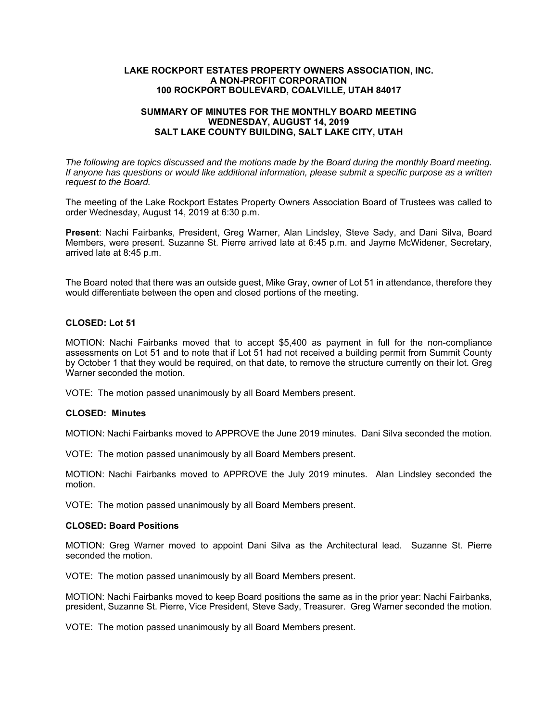#### **LAKE ROCKPORT ESTATES PROPERTY OWNERS ASSOCIATION, INC. A NON-PROFIT CORPORATION 100 ROCKPORT BOULEVARD, COALVILLE, UTAH 84017**

#### **SUMMARY OF MINUTES FOR THE MONTHLY BOARD MEETING WEDNESDAY, AUGUST 14, 2019 SALT LAKE COUNTY BUILDING, SALT LAKE CITY, UTAH**

*The following are topics discussed and the motions made by the Board during the monthly Board meeting. If anyone has questions or would like additional information, please submit a specific purpose as a written request to the Board.* 

The meeting of the Lake Rockport Estates Property Owners Association Board of Trustees was called to order Wednesday, August 14, 2019 at 6:30 p.m.

**Present**: Nachi Fairbanks, President, Greg Warner, Alan Lindsley, Steve Sady, and Dani Silva, Board Members, were present. Suzanne St. Pierre arrived late at 6:45 p.m. and Jayme McWidener, Secretary, arrived late at 8:45 p.m.

The Board noted that there was an outside guest, Mike Gray, owner of Lot 51 in attendance, therefore they would differentiate between the open and closed portions of the meeting.

# **CLOSED: Lot 51**

MOTION: Nachi Fairbanks moved that to accept \$5,400 as payment in full for the non-compliance assessments on Lot 51 and to note that if Lot 51 had not received a building permit from Summit County by October 1 that they would be required, on that date, to remove the structure currently on their lot. Greg Warner seconded the motion.

VOTE: The motion passed unanimously by all Board Members present.

# **CLOSED: Minutes**

MOTION: Nachi Fairbanks moved to APPROVE the June 2019 minutes. Dani Silva seconded the motion.

VOTE: The motion passed unanimously by all Board Members present.

MOTION: Nachi Fairbanks moved to APPROVE the July 2019 minutes. Alan Lindsley seconded the motion.

VOTE: The motion passed unanimously by all Board Members present.

# **CLOSED: Board Positions**

MOTION: Greg Warner moved to appoint Dani Silva as the Architectural lead. Suzanne St. Pierre seconded the motion.

VOTE: The motion passed unanimously by all Board Members present.

MOTION: Nachi Fairbanks moved to keep Board positions the same as in the prior year: Nachi Fairbanks, president, Suzanne St. Pierre, Vice President, Steve Sady, Treasurer. Greg Warner seconded the motion.

VOTE: The motion passed unanimously by all Board Members present.